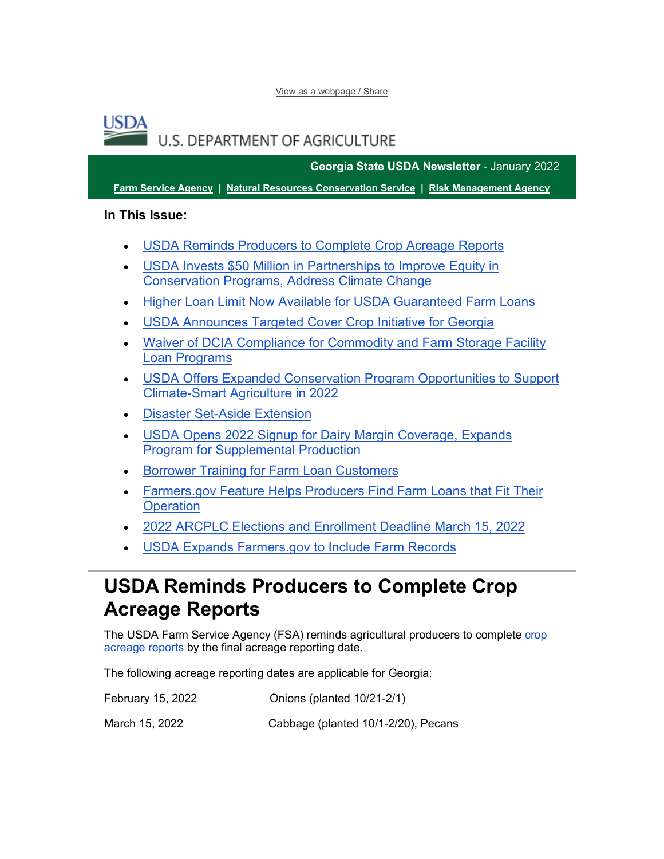[View as a webpage / Share](https://lnks.gd/l/eyJhbGciOiJIUzI1NiJ9.eyJidWxsZXRpbl9saW5rX2lkIjoxMDAsInVyaSI6ImJwMjpjbGljayIsImJ1bGxldGluX2lkIjoiMjAyMjAxMTkuNTIwMzc4NTEiLCJ1cmwiOiJodHRwczovL2NvbnRlbnQuZ292ZGVsaXZlcnkuY29tL2FjY291bnRzL1VTREFGQVJNRVJTL2J1bGxldGlucy8zMDY4NWY3In0.J2STUjN76upUz8mVGtyXFF_v0CBBXAoZ4Tzmd0X0oDg/s/1512326346/br/125315256956-l)

### USDA **U.S. DEPARTMENT OF AGRICULTURE**

**Georgia State USDA Newsletter** - January 2022

**[Farm Service Agency](https://lnks.gd/l/eyJhbGciOiJIUzI1NiJ9.eyJidWxsZXRpbl9saW5rX2lkIjoxMDEsInVyaSI6ImJwMjpjbGljayIsImJ1bGxldGluX2lkIjoiMjAyMjAxMTkuNTIwMzc4NTEiLCJ1cmwiOiJodHRwczovL2ZzYS51c2RhLmdvdi8_dXRtX21lZGl1bT1lbWFpbCZ1dG1fc291cmNlPWdvdmRlbGl2ZXJ5In0.kwmX0S4wsKD_mXU8Z9TrC--23kg27AtSLqJ1p2aq1p8/s/1512326346/br/125315256956-l) | [Natural Resources Conservation Service](https://lnks.gd/l/eyJhbGciOiJIUzI1NiJ9.eyJidWxsZXRpbl9saW5rX2lkIjoxMDIsInVyaSI6ImJwMjpjbGljayIsImJ1bGxldGluX2lkIjoiMjAyMjAxMTkuNTIwMzc4NTEiLCJ1cmwiOiJodHRwczovL3d3dy5ucmNzLnVzZGEuZ292L3dwcy9wb3J0YWwvbnJjcy9zaXRlL25hdGlvbmFsL2hvbWUvP3V0bV9tZWRpdW09ZW1haWwmdXRtX3NvdXJjZT1nb3ZkZWxpdmVyeSJ9.CaB6VzrCaxcTgm64vDnFSRQa0p9-KyJL6puCNMDrdLY/s/1512326346/br/125315256956-l) | [Risk Management Agency](https://lnks.gd/l/eyJhbGciOiJIUzI1NiJ9.eyJidWxsZXRpbl9saW5rX2lkIjoxMDMsInVyaSI6ImJwMjpjbGljayIsImJ1bGxldGluX2lkIjoiMjAyMjAxMTkuNTIwMzc4NTEiLCJ1cmwiOiJodHRwczovL3JtYS51c2RhLmdvdi8_dXRtX21lZGl1bT1lbWFpbCZ1dG1fc291cmNlPWdvdmRlbGl2ZXJ5In0.80MJQSP5Io-Kh7YWsqr59q6DNHAQjNUcGOzdgrq99tY/s/1512326346/br/125315256956-l)**

**In This Issue:**

- [USDA Reminds Producers to Complete Crop Acreage Reports](#page-0-0)
- [USDA Invests \\$50 Million in Partnerships to Improve Equity in](#page-1-0)  [Conservation Programs, Address Climate Change](#page-1-0)
- [Higher Loan Limit Now Available for USDA Guaranteed Farm Loans](#page-2-0)
- [USDA Announces Targeted Cover Crop Initiative for Georgia](#page-3-0)
- [Waiver of DCIA Compliance for Commodity and Farm Storage Facility](#page-3-1)  [Loan Programs](#page-3-1)
- [USDA Offers Expanded Conservation Program Opportunities to Support](#page-4-0)  [Climate-Smart Agriculture in 2022](#page-4-0)
- [Disaster Set-Aside Extension](#page-4-1)
- USDA Opens 2022 Signup for Dairy Margin Coverage, Expands [Program for Supplemental Production](#page-4-2)
- [Borrower Training for Farm Loan Customers](#page-6-0)
- [Farmers.gov Feature Helps Producers Find Farm Loans that Fit Their](#page-6-1)  **[Operation](#page-6-1)**
- [2022 ARCPLC Elections and Enrollment Deadline March 15, 2022](#page-7-0)
- [USDA Expands Farmers.gov to Include Farm Records](#page-9-0)

# <span id="page-0-0"></span>**USDA Reminds Producers to Complete Crop Acreage Reports**

The USDA Farm Service Agency (FSA) reminds agricultural producers to complete [crop](https://lnks.gd/l/eyJhbGciOiJIUzI1NiJ9.eyJidWxsZXRpbl9saW5rX2lkIjoxMDQsInVyaSI6ImJwMjpjbGljayIsImJ1bGxldGluX2lkIjoiMjAyMjAxMTkuNTIwMzc4NTEiLCJ1cmwiOiJodHRwczovL3d3dy5mYXJtZXJzLmdvdi9jcm9wLWFjcmVhZ2UtcmVwb3J0cz91dG1fbWVkaXVtPWVtYWlsJnV0bV9zb3VyY2U9Z292ZGVsaXZlcnkifQ.eg2khAd0AHT0oL7LQZnuBtYopIFXkcmkt94mGYyq3LA/s/1512326346/br/125315256956-l)  [acreage reports](https://lnks.gd/l/eyJhbGciOiJIUzI1NiJ9.eyJidWxsZXRpbl9saW5rX2lkIjoxMDQsInVyaSI6ImJwMjpjbGljayIsImJ1bGxldGluX2lkIjoiMjAyMjAxMTkuNTIwMzc4NTEiLCJ1cmwiOiJodHRwczovL3d3dy5mYXJtZXJzLmdvdi9jcm9wLWFjcmVhZ2UtcmVwb3J0cz91dG1fbWVkaXVtPWVtYWlsJnV0bV9zb3VyY2U9Z292ZGVsaXZlcnkifQ.eg2khAd0AHT0oL7LQZnuBtYopIFXkcmkt94mGYyq3LA/s/1512326346/br/125315256956-l) by the final acreage reporting date.

The following acreage reporting dates are applicable for Georgia:

| February 15, 2022 | Onions (planted 10/21-2/1)          |
|-------------------|-------------------------------------|
| March 15, 2022    | Cabbage (planted 10/1-2/20), Pecans |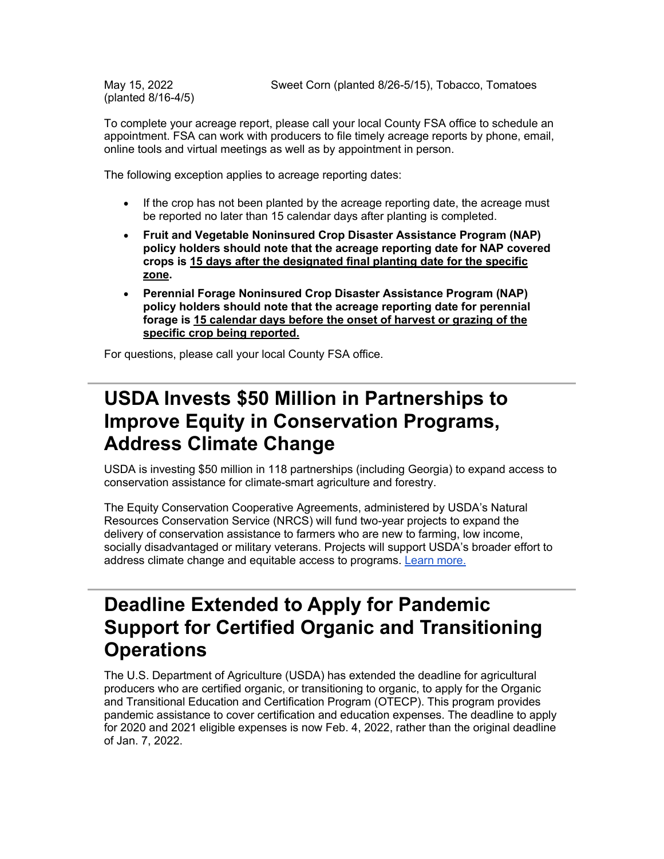(planted 8/16-4/5)

To complete your acreage report, please call your local County FSA office to schedule an appointment. FSA can work with producers to file timely acreage reports by phone, email, online tools and virtual meetings as well as by appointment in person.

The following exception applies to acreage reporting dates:

- If the crop has not been planted by the acreage reporting date, the acreage must be reported no later than 15 calendar days after planting is completed.
- **Fruit and Vegetable Noninsured Crop Disaster Assistance Program (NAP) policy holders should note that the acreage reporting date for NAP covered crops is 15 days after the designated final planting date for the specific zone.**
- **Perennial Forage Noninsured Crop Disaster Assistance Program (NAP) policy holders should note that the acreage reporting date for perennial forage is 15 calendar days before the onset of harvest or grazing of the specific crop being reported.**

For questions, please call your local County FSA office.

# <span id="page-1-0"></span>**USDA Invests \$50 Million in Partnerships to Improve Equity in Conservation Programs, Address Climate Change**

USDA is investing \$50 million in 118 partnerships (including Georgia) to expand access to conservation assistance for climate-smart agriculture and forestry.

The Equity Conservation Cooperative Agreements, administered by USDA's Natural Resources Conservation Service (NRCS) will fund two-year projects to expand the delivery of conservation assistance to farmers who are new to farming, low income, socially disadvantaged or military veterans. Projects will support USDA's broader effort to address climate change and equitable access to programs. [Learn more.](https://lnks.gd/l/eyJhbGciOiJIUzI1NiJ9.eyJidWxsZXRpbl9saW5rX2lkIjoxMDUsInVyaSI6ImJwMjpjbGljayIsImJ1bGxldGluX2lkIjoiMjAyMjAxMTkuNTIwMzc4NTEiLCJ1cmwiOiJodHRwczovL2xua3MuZ2QvbC9leUpoYkdjaU9pSklVekkxTmlKOS5leUppZFd4c1pYUnBibDlzYVc1clgybGtJam94TURFc0luVnlhU0k2SW1Kd01qcGpiR2xqYXlJc0ltSjFiR3hsZEdsdVgybGtJam9pTWpBeU1qQXhNVEF1TlRFMU5qUTJNVEVpTENKMWNtd2lPaUpvZEhSd2N6b3ZMM2QzZHk1dWNtTnpMblZ6WkdFdVoyOTJMM2R3Y3k5d2IzSjBZV3d2Ym5KamN5OWtaWFJoYVd3dmJtRjBhVzl1WVd3dmJtVjNjM0p2YjIwdmNtVnNaV0Z6WlhNdlAyTnBaRDFPVWtOVFJWQlNSREU0Tmpnd01qSWlmUS5NZTBhcnkyU1NZSDZnV2pCdHhPS0FjeFByNWRDN0hkamN4bmo5ODZocExjL3MvMTA0NzM0MjIwMC9ici8xMjQ0OTYwNjM2ODUtbD91dG1fbWVkaXVtPWVtYWlsJnV0bV9zb3VyY2U9Z292ZGVsaXZlcnkifQ.O17nl5qoSTLtSfx5PIkGE41gfdO3tkWQmk03HJIu-jw/s/1512326346/br/125315256956-l)

### **Deadline Extended to Apply for Pandemic Support for Certified Organic and Transitioning Operations**

The U.S. Department of Agriculture (USDA) has extended the deadline for agricultural producers who are certified organic, or transitioning to organic, to apply for the Organic and Transitional Education and Certification Program (OTECP). This program provides pandemic assistance to cover certification and education expenses. The deadline to apply for 2020 and 2021 eligible expenses is now Feb. 4, 2022, rather than the original deadline of Jan. 7, 2022.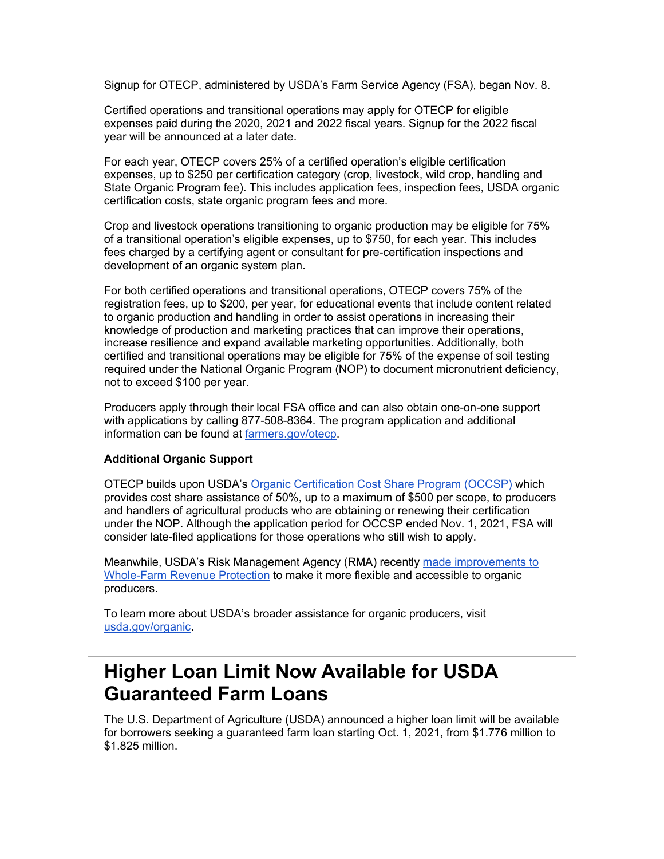Signup for OTECP, administered by USDA's Farm Service Agency (FSA), began Nov. 8.

Certified operations and transitional operations may apply for OTECP for eligible expenses paid during the 2020, 2021 and 2022 fiscal years. Signup for the 2022 fiscal year will be announced at a later date.

For each year, OTECP covers 25% of a certified operation's eligible certification expenses, up to \$250 per certification category (crop, livestock, wild crop, handling and State Organic Program fee). This includes application fees, inspection fees, USDA organic certification costs, state organic program fees and more.

Crop and livestock operations transitioning to organic production may be eligible for 75% of a transitional operation's eligible expenses, up to \$750, for each year. This includes fees charged by a certifying agent or consultant for pre-certification inspections and development of an organic system plan.

For both certified operations and transitional operations, OTECP covers 75% of the registration fees, up to \$200, per year, for educational events that include content related to organic production and handling in order to assist operations in increasing their knowledge of production and marketing practices that can improve their operations, increase resilience and expand available marketing opportunities. Additionally, both certified and transitional operations may be eligible for 75% of the expense of soil testing required under the National Organic Program (NOP) to document micronutrient deficiency, not to exceed \$100 per year.

Producers apply through their local FSA office and can also obtain one-on-one support with applications by calling 877-508-8364. The program application and additional information can be found at [farmers.gov/otecp.](https://lnks.gd/l/eyJhbGciOiJIUzI1NiJ9.eyJidWxsZXRpbl9saW5rX2lkIjoxMDYsInVyaSI6ImJwMjpjbGljayIsImJ1bGxldGluX2lkIjoiMjAyMjAxMTkuNTIwMzc4NTEiLCJ1cmwiOiJodHRwOi8vd3d3LmZhcm1lcnMuZ292L290ZWNwP3V0bV9tZWRpdW09ZW1haWwmdXRtX3NvdXJjZT1nb3ZkZWxpdmVyeSJ9.UijlwJU0siLyPwbzPdlOETDLQrkaspXKv1GK9cRCEcY/s/1512326346/br/125315256956-l)

#### **Additional Organic Support**

OTECP builds upon USDA's [Organic Certification Cost Share Program \(OCCSP\)](https://lnks.gd/l/eyJhbGciOiJIUzI1NiJ9.eyJidWxsZXRpbl9saW5rX2lkIjoxMDcsInVyaSI6ImJwMjpjbGljayIsImJ1bGxldGluX2lkIjoiMjAyMjAxMTkuNTIwMzc4NTEiLCJ1cmwiOiJodHRwczovL3d3dy5mc2EudXNkYS5nb3YvcHJvZ3JhbXMtYW5kLXNlcnZpY2VzL29jY3NwL2luZGV4P3V0bV9tZWRpdW09ZW1haWwmdXRtX3NvdXJjZT1nb3ZkZWxpdmVyeSJ9.c8R9oMtW0aNEptL3QiDbm7xqJPm-IxFdEM1SPJNPZfg/s/1512326346/br/125315256956-l) which provides cost share assistance of 50%, up to a maximum of \$500 per scope, to producers and handlers of agricultural products who are obtaining or renewing their certification under the NOP. Although the application period for OCCSP ended Nov. 1, 2021, FSA will consider late-filed applications for those operations who still wish to apply.

Meanwhile, USDA's Risk Management Agency (RMA) recently [made improvements to](https://lnks.gd/l/eyJhbGciOiJIUzI1NiJ9.eyJidWxsZXRpbl9saW5rX2lkIjoxMDgsInVyaSI6ImJwMjpjbGljayIsImJ1bGxldGluX2lkIjoiMjAyMjAxMTkuNTIwMzc4NTEiLCJ1cmwiOiJodHRwczovL3d3dy5ybWEudXNkYS5nb3YvTmV3cy1Sb29tL1ByZXNzL1ByZXNzLVJlbGVhc2VzLzIwMjEtTmV3cy9STUEtTWFrZXMtSW1wcm92ZW1lbnRzLXRvLVdob2xlLUZhcm0tUmV2ZW51ZS1Qcm90ZWN0aW9uP3V0bV9tZWRpdW09ZW1haWwmdXRtX3NvdXJjZT1nb3ZkZWxpdmVyeSJ9.fZrSbIpwJLYNQaW0dYME7M5W7uuHiadQVVU5s7Z6tsQ/s/1512326346/br/125315256956-l)  [Whole-Farm Revenue Protection](https://lnks.gd/l/eyJhbGciOiJIUzI1NiJ9.eyJidWxsZXRpbl9saW5rX2lkIjoxMDgsInVyaSI6ImJwMjpjbGljayIsImJ1bGxldGluX2lkIjoiMjAyMjAxMTkuNTIwMzc4NTEiLCJ1cmwiOiJodHRwczovL3d3dy5ybWEudXNkYS5nb3YvTmV3cy1Sb29tL1ByZXNzL1ByZXNzLVJlbGVhc2VzLzIwMjEtTmV3cy9STUEtTWFrZXMtSW1wcm92ZW1lbnRzLXRvLVdob2xlLUZhcm0tUmV2ZW51ZS1Qcm90ZWN0aW9uP3V0bV9tZWRpdW09ZW1haWwmdXRtX3NvdXJjZT1nb3ZkZWxpdmVyeSJ9.fZrSbIpwJLYNQaW0dYME7M5W7uuHiadQVVU5s7Z6tsQ/s/1512326346/br/125315256956-l) to make it more flexible and accessible to organic producers.

To learn more about USDA's broader assistance for organic producers, visit [usda.gov/organic.](https://lnks.gd/l/eyJhbGciOiJIUzI1NiJ9.eyJidWxsZXRpbl9saW5rX2lkIjoxMDksInVyaSI6ImJwMjpjbGljayIsImJ1bGxldGluX2lkIjoiMjAyMjAxMTkuNTIwMzc4NTEiLCJ1cmwiOiJodHRwOi8vd3d3LnVzZGEuZ292L29yZ2FuaWM_dXRtX21lZGl1bT1lbWFpbCZ1dG1fc291cmNlPWdvdmRlbGl2ZXJ5In0.J4fhKfO3x7uZPWMim6wptdVegZUODCl7AbFy7OWclMg/s/1512326346/br/125315256956-l)

## <span id="page-2-0"></span>**Higher Loan Limit Now Available for USDA Guaranteed Farm Loans**

The U.S. Department of Agriculture (USDA) announced a higher loan limit will be available for borrowers seeking a guaranteed farm loan starting Oct. 1, 2021, from \$1.776 million to \$1.825 million.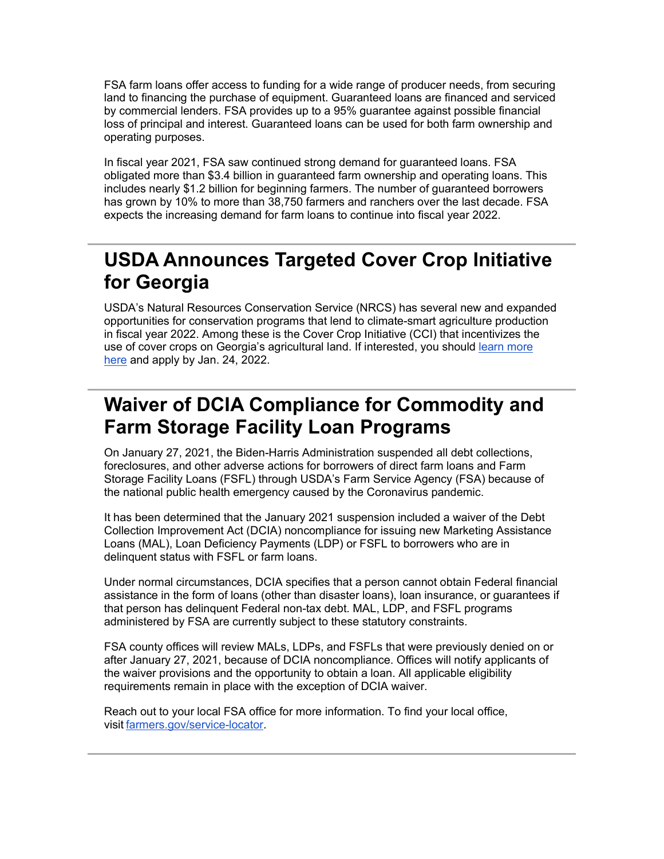FSA farm loans offer access to funding for a wide range of producer needs, from securing land to financing the purchase of equipment. Guaranteed loans are financed and serviced by commercial lenders. FSA provides up to a 95% guarantee against possible financial loss of principal and interest. Guaranteed loans can be used for both farm ownership and operating purposes.

In fiscal year 2021, FSA saw continued strong demand for guaranteed loans. FSA obligated more than \$3.4 billion in guaranteed farm ownership and operating loans. This includes nearly \$1.2 billion for beginning farmers. The number of guaranteed borrowers has grown by 10% to more than 38,750 farmers and ranchers over the last decade. FSA expects the increasing demand for farm loans to continue into fiscal year 2022.

# <span id="page-3-0"></span>**USDA Announces Targeted Cover Crop Initiative for Georgia**

USDA's Natural Resources Conservation Service (NRCS) has several new and expanded opportunities for conservation programs that lend to climate-smart agriculture production in fiscal year 2022. Among these is the Cover Crop Initiative (CCI) that incentivizes the use of cover crops on Georgia's agricultural land. If interested, you should [learn more](https://lnks.gd/l/eyJhbGciOiJIUzI1NiJ9.eyJidWxsZXRpbl9saW5rX2lkIjoxMTAsInVyaSI6ImJwMjpjbGljayIsImJ1bGxldGluX2lkIjoiMjAyMjAxMTkuNTIwMzc4NTEiLCJ1cmwiOiJodHRwczovL2djYzAyLnNhZmVsaW5rcy5wcm90ZWN0aW9uLm91dGxvb2suY29tLz9kYXRhPTA0JTdDMDElN0MlN0NkZDQyMDhmMTEwZmY0MmEwZTZkNDA4ZDlkNzcyMzYxYyU3Q2VkNWIzNmU3MDFlZTRlYmM4NjdlZTAzY2ZhMGQ0Njk3JTdDMCU3QzAlN0M2Mzc3Nzc3MDc3OTc2MzY5MDglN0NVbmtub3duJTdDVFdGcGJHWnNiM2Q4ZXlKV0lqb2lNQzR3TGpBd01EQWlMQ0pRSWpvaVYybHVNeklpTENKQlRpSTZJazFoYVd3aUxDSlhWQ0k2TW4wJTNEJTdDMzAwMCZyZXNlcnZlZD0wJnNkYXRhPWhYMkZnYTNLRXJGSW04bU9RajJJSDcycFloWkFTRHZ0aTFuMEgyc1h6RjQlM0QmdXJsPWh0dHBzJTNBJTJGJTJGd3d3Lm5yY3MudXNkYS5nb3YlMkZ3cHMlMkZwb3J0YWwlMkZucmNzJTJGZGV0YWlsJTJGZ2ElMkZuZXdzcm9vbSUyRnJlbGVhc2VzJTJGJTNGY2lkJTNETlJDU0VQUkQxODY5NDc0JTI2dXRtX21lZGl1bSUzRGVtYWlsJTI2dXRtX3NvdXJjZSUzRGdvdmRlbGl2ZXJ5JnV0bV9tZWRpdW09ZW1haWwmdXRtX3NvdXJjZT1nb3ZkZWxpdmVyeSJ9.7n5aY3cz0o_dBvBxwp1nQUHAbmM7NSH3ruO9NpxbYjc/s/1512326346/br/125315256956-l)  [here](https://lnks.gd/l/eyJhbGciOiJIUzI1NiJ9.eyJidWxsZXRpbl9saW5rX2lkIjoxMTAsInVyaSI6ImJwMjpjbGljayIsImJ1bGxldGluX2lkIjoiMjAyMjAxMTkuNTIwMzc4NTEiLCJ1cmwiOiJodHRwczovL2djYzAyLnNhZmVsaW5rcy5wcm90ZWN0aW9uLm91dGxvb2suY29tLz9kYXRhPTA0JTdDMDElN0MlN0NkZDQyMDhmMTEwZmY0MmEwZTZkNDA4ZDlkNzcyMzYxYyU3Q2VkNWIzNmU3MDFlZTRlYmM4NjdlZTAzY2ZhMGQ0Njk3JTdDMCU3QzAlN0M2Mzc3Nzc3MDc3OTc2MzY5MDglN0NVbmtub3duJTdDVFdGcGJHWnNiM2Q4ZXlKV0lqb2lNQzR3TGpBd01EQWlMQ0pRSWpvaVYybHVNeklpTENKQlRpSTZJazFoYVd3aUxDSlhWQ0k2TW4wJTNEJTdDMzAwMCZyZXNlcnZlZD0wJnNkYXRhPWhYMkZnYTNLRXJGSW04bU9RajJJSDcycFloWkFTRHZ0aTFuMEgyc1h6RjQlM0QmdXJsPWh0dHBzJTNBJTJGJTJGd3d3Lm5yY3MudXNkYS5nb3YlMkZ3cHMlMkZwb3J0YWwlMkZucmNzJTJGZGV0YWlsJTJGZ2ElMkZuZXdzcm9vbSUyRnJlbGVhc2VzJTJGJTNGY2lkJTNETlJDU0VQUkQxODY5NDc0JTI2dXRtX21lZGl1bSUzRGVtYWlsJTI2dXRtX3NvdXJjZSUzRGdvdmRlbGl2ZXJ5JnV0bV9tZWRpdW09ZW1haWwmdXRtX3NvdXJjZT1nb3ZkZWxpdmVyeSJ9.7n5aY3cz0o_dBvBxwp1nQUHAbmM7NSH3ruO9NpxbYjc/s/1512326346/br/125315256956-l) and apply by Jan. 24, 2022.

# <span id="page-3-1"></span>**Waiver of DCIA Compliance for Commodity and Farm Storage Facility Loan Programs**

On January 27, 2021, the Biden-Harris Administration suspended all debt collections, foreclosures, and other adverse actions for borrowers of direct farm loans and Farm Storage Facility Loans (FSFL) through USDA's Farm Service Agency (FSA) because of the national public health emergency caused by the Coronavirus pandemic.

It has been determined that the January 2021 suspension included a waiver of the Debt Collection Improvement Act (DCIA) noncompliance for issuing new Marketing Assistance Loans (MAL), Loan Deficiency Payments (LDP) or FSFL to borrowers who are in delinquent status with FSFL or farm loans.

Under normal circumstances, DCIA specifies that a person cannot obtain Federal financial assistance in the form of loans (other than disaster loans), loan insurance, or guarantees if that person has delinquent Federal non-tax debt. MAL, LDP, and FSFL programs administered by FSA are currently subject to these statutory constraints.

FSA county offices will review MALs, LDPs, and FSFLs that were previously denied on or after January 27, 2021, because of DCIA noncompliance. Offices will notify applicants of the waiver provisions and the opportunity to obtain a loan. All applicable eligibility requirements remain in place with the exception of DCIA waiver.

Reach out to your local FSA office for more information. To find your local office, visit [farmers.gov/service-locator.](https://lnks.gd/l/eyJhbGciOiJIUzI1NiJ9.eyJidWxsZXRpbl9saW5rX2lkIjoxMTEsInVyaSI6ImJwMjpjbGljayIsImJ1bGxldGluX2lkIjoiMjAyMjAxMTkuNTIwMzc4NTEiLCJ1cmwiOiJodHRwczovL3d3dy5mYXJtZXJzLmdvdi93b3JraW5nLXdpdGgtdXMvc2VydmljZS1jZW50ZXItbG9jYXRvcj91dG1fbWVkaXVtPWVtYWlsJnV0bV9zb3VyY2U9Z292ZGVsaXZlcnkifQ.J7m3M_LT8t5lkPq2SWDdLhyc5pS0QYSJroofXKSg-84/s/1512326346/br/125315256956-l)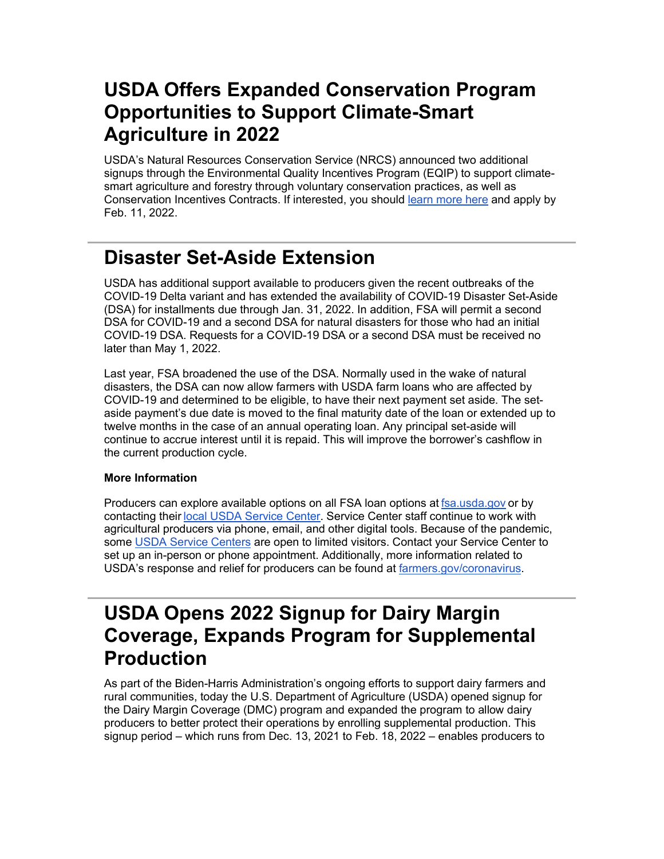# <span id="page-4-0"></span>**USDA Offers Expanded Conservation Program Opportunities to Support Climate-Smart Agriculture in 2022**

USDA's Natural Resources Conservation Service (NRCS) announced two additional signups through the Environmental Quality Incentives Program (EQIP) to support climatesmart agriculture and forestry through voluntary conservation practices, as well as Conservation Incentives Contracts. If interested, you should [learn more here](https://lnks.gd/l/eyJhbGciOiJIUzI1NiJ9.eyJidWxsZXRpbl9saW5rX2lkIjoxMTIsInVyaSI6ImJwMjpjbGljayIsImJ1bGxldGluX2lkIjoiMjAyMjAxMTkuNTIwMzc4NTEiLCJ1cmwiOiJodHRwczovL2djYzAyLnNhZmVsaW5rcy5wcm90ZWN0aW9uLm91dGxvb2suY29tLz9kYXRhPTA0JTdDMDElN0MlN0NkZDQyMDhmMTEwZmY0MmEwZTZkNDA4ZDlkNzcyMzYxYyU3Q2VkNWIzNmU3MDFlZTRlYmM4NjdlZTAzY2ZhMGQ0Njk3JTdDMCU3QzAlN0M2Mzc3Nzc3MDc3OTc2MzY5MDglN0NVbmtub3duJTdDVFdGcGJHWnNiM2Q4ZXlKV0lqb2lNQzR3TGpBd01EQWlMQ0pRSWpvaVYybHVNeklpTENKQlRpSTZJazFoYVd3aUxDSlhWQ0k2TW4wJTNEJTdDMzAwMCZyZXNlcnZlZD0wJnNkYXRhPUF6Vk5NejJRRHhlenh3bnNXTUhGVFczeUQxTkZ4bk1xR05sdHRPc0hJU1klM0QmdXJsPWh0dHBzJTNBJTJGJTJGd3d3Lm5yY3MudXNkYS5nb3YlMkZ3cHMlMkZwb3J0YWwlMkZucmNzJTJGZGV0YWlsJTJGZ2ElMkZuZXdzcm9vbSUyRnJlbGVhc2VzJTJGJTNGY2lkJTNETlJDU0VQUkQxODcwNDI0JTI2dXRtX21lZGl1bSUzRGVtYWlsJTI2dXRtX3NvdXJjZSUzRGdvdmRlbGl2ZXJ5JnV0bV9tZWRpdW09ZW1haWwmdXRtX3NvdXJjZT1nb3ZkZWxpdmVyeSJ9.zPwxou7QBx5O7y_q75KE8XjwuWg1nS6rRWEYSXUeTHM/s/1512326346/br/125315256956-l) and apply by Feb. 11, 2022.

# <span id="page-4-1"></span>**Disaster Set-Aside Extension**

USDA has additional support available to producers given the recent outbreaks of the COVID-19 Delta variant and has extended the availability of COVID-19 Disaster Set-Aside (DSA) for installments due through Jan. 31, 2022. In addition, FSA will permit a second DSA for COVID-19 and a second DSA for natural disasters for those who had an initial COVID-19 DSA. Requests for a COVID-19 DSA or a second DSA must be received no later than May 1, 2022.

Last year, FSA broadened the use of the DSA. Normally used in the wake of natural disasters, the DSA can now allow farmers with USDA farm loans who are affected by COVID-19 and determined to be eligible, to have their next payment set aside. The setaside payment's due date is moved to the final maturity date of the loan or extended up to twelve months in the case of an annual operating loan. Any principal set-aside will continue to accrue interest until it is repaid. This will improve the borrower's cashflow in the current production cycle.

#### **More Information**

Producers can explore available options on all FSA loan options at [fsa.usda.gov](https://lnks.gd/l/eyJhbGciOiJIUzI1NiJ9.eyJidWxsZXRpbl9saW5rX2lkIjoxMTMsInVyaSI6ImJwMjpjbGljayIsImJ1bGxldGluX2lkIjoiMjAyMjAxMTkuNTIwMzc4NTEiLCJ1cmwiOiJodHRwczovL2djYzAyLnNhZmVsaW5rcy5wcm90ZWN0aW9uLm91dGxvb2suY29tLz9kYXRhPTA0JTdDMDElN0MlN0M2OTY1YjM5NDhhMTY0YzYyMThlODA4ZDlkNDc5MjA1YyU3Q2VkNWIzNmU3MDFlZTRlYmM4NjdlZTAzY2ZhMGQ0Njk3JTdDMCU3QzAlN0M2Mzc3NzQ0Mzg5NjEzNjI4MDMlN0NVbmtub3duJTdDVFdGcGJHWnNiM2Q4ZXlKV0lqb2lNQzR3TGpBd01EQWlMQ0pRSWpvaVYybHVNeklpTENKQlRpSTZJazFoYVd3aUxDSlhWQ0k2TW4wJTNEJTdDMzAwMCZyZXNlcnZlZD0wJnNkYXRhPXNMaGp4JTJCWVJkSWZTVktwa0Jibm9OelBDbjRIdnJlenlLVkE5dnFGOUd2SSUzRCZ1cmw9aHR0cHMlM0ElMkYlMkZ3d3cuZnNhLnVzZGEuZ292JTJGJTNGdXRtX21lZGl1bSUzRGVtYWlsJTI2dXRtX3NvdXJjZSUzRGdvdmRlbGl2ZXJ5JnV0bV9tZWRpdW09ZW1haWwmdXRtX3NvdXJjZT1nb3ZkZWxpdmVyeSJ9.XkvQmzajFg0Z_GdIuSI4m2BkoQ1a54bP01h7XusJyF0/s/1512326346/br/125315256956-l) or by contacting their [local USDA Service Center.](https://lnks.gd/l/eyJhbGciOiJIUzI1NiJ9.eyJidWxsZXRpbl9saW5rX2lkIjoxMTQsInVyaSI6ImJwMjpjbGljayIsImJ1bGxldGluX2lkIjoiMjAyMjAxMTkuNTIwMzc4NTEiLCJ1cmwiOiJodHRwczovL3d3dy5mYXJtZXJzLmdvdi93b3JraW5nLXdpdGgtdXMvc2VydmljZS1jZW50ZXItbG9jYXRvcj91dG1fbWVkaXVtPWVtYWlsJnV0bV9zb3VyY2U9Z292ZGVsaXZlcnkifQ.-FVnEgWcH1DJyIzS_BxsKbkjGpc3t7B3j1Drems7dn0/s/1512326346/br/125315256956-l) Service Center staff continue to work with agricultural producers via phone, email, and other digital tools. Because of the pandemic, some [USDA Service Centers](https://lnks.gd/l/eyJhbGciOiJIUzI1NiJ9.eyJidWxsZXRpbl9saW5rX2lkIjoxMTUsInVyaSI6ImJwMjpjbGljayIsImJ1bGxldGluX2lkIjoiMjAyMjAxMTkuNTIwMzc4NTEiLCJ1cmwiOiJodHRwOi8vd3d3LmZhcm1lcnMuZ292L3NlcnZpY2UtbG9jYXRvcj91dG1fbWVkaXVtPWVtYWlsJnV0bV9zb3VyY2U9Z292ZGVsaXZlcnkifQ.rR_I-lmwuJPkDmpg62TZylIP_kLb2oChFoFR2DeFcL4/s/1512326346/br/125315256956-l) are open to limited visitors. Contact your Service Center to set up an in-person or phone appointment. Additionally, more information related to USDA's response and relief for producers can be found at [farmers.gov/coronavirus.](https://lnks.gd/l/eyJhbGciOiJIUzI1NiJ9.eyJidWxsZXRpbl9saW5rX2lkIjoxMTYsInVyaSI6ImJwMjpjbGljayIsImJ1bGxldGluX2lkIjoiMjAyMjAxMTkuNTIwMzc4NTEiLCJ1cmwiOiJodHRwczovL3d3dy5mYXJtZXJzLmdvdi9jb3JvbmF2aXJ1cz91dG1fbWVkaXVtPWVtYWlsJnV0bV9zb3VyY2U9Z292ZGVsaXZlcnkifQ.l-q0ovjIpRPSojz__Woa1slH7aC7vDBngHo6OZ1YMho/s/1512326346/br/125315256956-l)

## <span id="page-4-2"></span>**USDA Opens 2022 Signup for Dairy Margin Coverage, Expands Program for Supplemental Production**

As part of the Biden-Harris Administration's ongoing efforts to support dairy farmers and rural communities, today the U.S. Department of Agriculture (USDA) opened signup for the Dairy Margin Coverage (DMC) program and expanded the program to allow dairy producers to better protect their operations by enrolling supplemental production. This signup period – which runs from Dec. 13, 2021 to Feb. 18, 2022 – enables producers to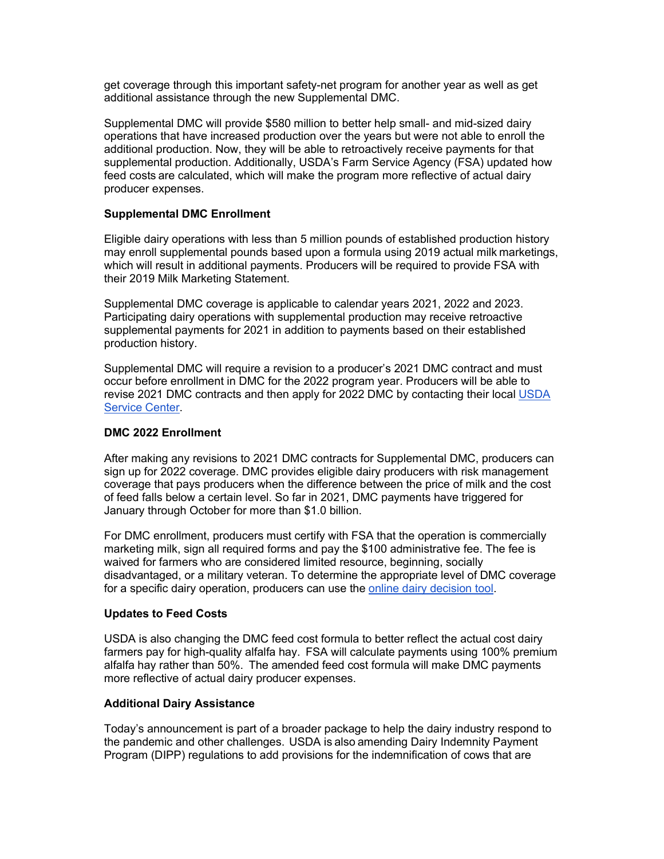get coverage through this important safety-net program for another year as well as get additional assistance through the new Supplemental DMC.

Supplemental DMC will provide \$580 million to better help small- and mid-sized dairy operations that have increased production over the years but were not able to enroll the additional production. Now, they will be able to retroactively receive payments for that supplemental production. Additionally, USDA's Farm Service Agency (FSA) updated how feed costs are calculated, which will make the program more reflective of actual dairy producer expenses. 

#### **Supplemental DMC Enrollment**

Eligible dairy operations with less than 5 million pounds of established production history may enroll supplemental pounds based upon a formula using 2019 actual milk marketings, which will result in additional payments. Producers will be required to provide FSA with their 2019 Milk Marketing Statement.

Supplemental DMC coverage is applicable to calendar years 2021, 2022 and 2023. Participating dairy operations with supplemental production may receive retroactive supplemental payments for 2021 in addition to payments based on their established production history.

Supplemental DMC will require a revision to a producer's 2021 DMC contract and must occur before enrollment in DMC for the 2022 program year. Producers will be able to revise 2021 DMC contracts and then apply for 2022 DMC by contacting their local [USDA](https://lnks.gd/l/eyJhbGciOiJIUzI1NiJ9.eyJidWxsZXRpbl9saW5rX2lkIjoxMTcsInVyaSI6ImJwMjpjbGljayIsImJ1bGxldGluX2lkIjoiMjAyMjAxMTkuNTIwMzc4NTEiLCJ1cmwiOiJodHRwczovL3d3dy5mYXJtZXJzLmdvdi93b3JraW5nLXdpdGgtdXMvc2VydmljZS1jZW50ZXItbG9jYXRvcj91dG1fbWVkaXVtPWVtYWlsJnV0bV9zb3VyY2U9Z292ZGVsaXZlcnkifQ.RZBh_imSDkx4cA4it2ZLFdx7uEXGUWb7E-V0nq-mweo/s/1512326346/br/125315256956-l)  [Service Center.](https://lnks.gd/l/eyJhbGciOiJIUzI1NiJ9.eyJidWxsZXRpbl9saW5rX2lkIjoxMTcsInVyaSI6ImJwMjpjbGljayIsImJ1bGxldGluX2lkIjoiMjAyMjAxMTkuNTIwMzc4NTEiLCJ1cmwiOiJodHRwczovL3d3dy5mYXJtZXJzLmdvdi93b3JraW5nLXdpdGgtdXMvc2VydmljZS1jZW50ZXItbG9jYXRvcj91dG1fbWVkaXVtPWVtYWlsJnV0bV9zb3VyY2U9Z292ZGVsaXZlcnkifQ.RZBh_imSDkx4cA4it2ZLFdx7uEXGUWb7E-V0nq-mweo/s/1512326346/br/125315256956-l)

#### **DMC 2022 Enrollment**

After making any revisions to 2021 DMC contracts for Supplemental DMC, producers can sign up for 2022 coverage. DMC provides eligible dairy producers with risk management coverage that pays producers when the difference between the price of milk and the cost of feed falls below a certain level. So far in 2021, DMC payments have triggered for January through October for more than \$1.0 billion.

For DMC enrollment, producers must certify with FSA that the operation is commercially marketing milk, sign all required forms and pay the \$100 administrative fee. The fee is waived for farmers who are considered limited resource, beginning, socially disadvantaged, or a military veteran. To determine the appropriate level of DMC coverage for a specific dairy operation, producers can use the [online dairy decision tool.](https://lnks.gd/l/eyJhbGciOiJIUzI1NiJ9.eyJidWxsZXRpbl9saW5rX2lkIjoxMTgsInVyaSI6ImJwMjpjbGljayIsImJ1bGxldGluX2lkIjoiMjAyMjAxMTkuNTIwMzc4NTEiLCJ1cmwiOiJodHRwczovL2djYzAyLnNhZmVsaW5rcy5wcm90ZWN0aW9uLm91dGxvb2suY29tLz9kYXRhPTA0JTdDMDElN0MlN0NjMWI3MDIxYzhkOTY0N2ViMDJhYjA4ZDliYTdlYzc5OSU3Q2VkNWIzNmU3MDFlZTRlYmM4NjdlZTAzY2ZhMGQ0Njk3JTdDMCU3QzAlN0M2Mzc3NDU4NzU5NDIxMDg1MTElN0NVbmtub3duJTdDVFdGcGJHWnNiM2Q4ZXlKV0lqb2lNQzR3TGpBd01EQWlMQ0pRSWpvaVYybHVNeklpTENKQlRpSTZJazFoYVd3aUxDSlhWQ0k2TW4wJTNEJTdDMzAwMCZyZXNlcnZlZD0wJnNkYXRhPUZVZ09pVUdmTmR2Q0FYUFJ5d2xDTW5LcUVXTWprZ24zNmhiMmN1UUV2YzQlM0QmdXJsPWh0dHBzJTNBJTJGJTJGZG1jLmRhaXJ5bWFya2V0cy5vcmclMkYlM0Z1dG1fbWVkaXVtJTNEZW1haWwlMjZ1dG1fc291cmNlJTNEZ292ZGVsaXZlcnkmdXRtX21lZGl1bT1lbWFpbCZ1dG1fc291cmNlPWdvdmRlbGl2ZXJ5In0.-w00f_yj3HGcqiuww61tNyVpQeV5aVS1gcm7t91CQyM/s/1512326346/br/125315256956-l)

#### **Updates to Feed Costs**

USDA is also changing the DMC feed cost formula to better reflect the actual cost dairy farmers pay for high-quality alfalfa hay.  FSA will calculate payments using 100% premium alfalfa hay rather than 50%.  The amended feed cost formula will make DMC payments more reflective of actual dairy producer expenses.  

#### **Additional Dairy Assistance**

Today's announcement is part of a broader package to help the dairy industry respond to the pandemic and other challenges.  USDA is also amending Dairy Indemnity Payment Program (DIPP) regulations to add provisions for the indemnification of cows that are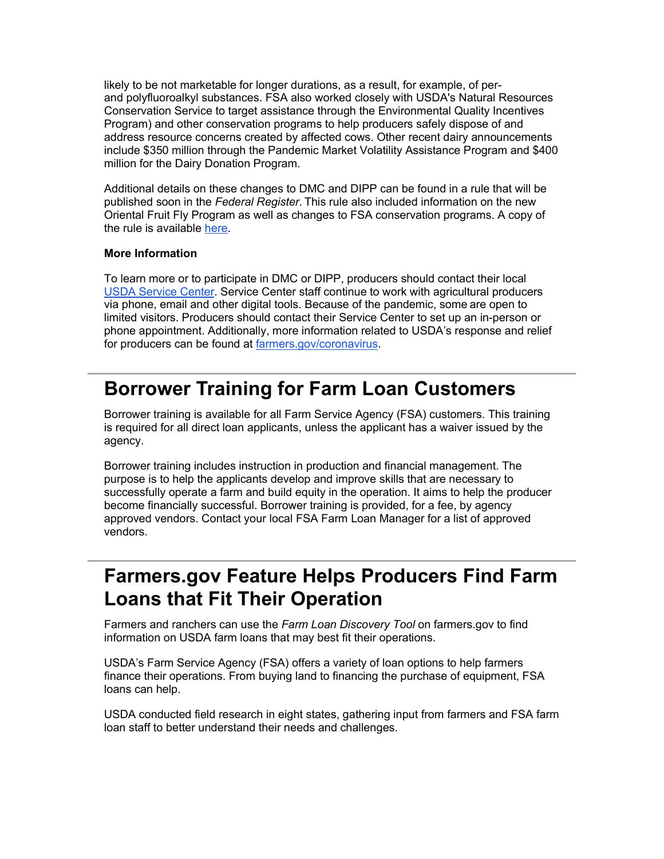likely to be not marketable for longer durations, as a result, for example, of perand polyfluoroalkyl substances. FSA also worked closely with USDA's Natural Resources Conservation Service to target assistance through the Environmental Quality Incentives Program) and other conservation programs to help producers safely dispose of and address resource concerns created by affected cows. Other recent dairy announcements include \$350 million through the Pandemic Market Volatility Assistance Program and \$400 million for the Dairy Donation Program.

Additional details on these changes to DMC and DIPP can be found in a rule that will be published soon in the *Federal Register*. This rule also included information on the new Oriental Fruit Fly Program as well as changes to FSA conservation programs. A copy of the rule is available [here.](https://lnks.gd/l/eyJhbGciOiJIUzI1NiJ9.eyJidWxsZXRpbl9saW5rX2lkIjoxMTksInVyaSI6ImJwMjpjbGljayIsImJ1bGxldGluX2lkIjoiMjAyMjAxMTkuNTIwMzc4NTEiLCJ1cmwiOiJodHRwczovL2djYzAyLnNhZmVsaW5rcy5wcm90ZWN0aW9uLm91dGxvb2suY29tLz9kYXRhPTA0JTdDMDElN0MlN0NjMWI3MDIxYzhkOTY0N2ViMDJhYjA4ZDliYTdlYzc5OSU3Q2VkNWIzNmU3MDFlZTRlYmM4NjdlZTAzY2ZhMGQ0Njk3JTdDMCU3QzAlN0M2Mzc3NDU4NzU5NDIxMDg1MTElN0NVbmtub3duJTdDVFdGcGJHWnNiM2Q4ZXlKV0lqb2lNQzR3TGpBd01EQWlMQ0pRSWpvaVYybHVNeklpTENKQlRpSTZJazFoYVd3aUxDSlhWQ0k2TW4wJTNEJTdDMzAwMCZyZXNlcnZlZD0wJnNkYXRhPUJaSXM4OEtuc2EwcW9lSDZuWEVPbmVHTGUlMkIzdjFYUTBwZmJwbVJSbkZJSSUzRCZ1cmw9aHR0cHMlM0ElMkYlMkZ3d3cuZnNhLnVzZGEuZ292JTJGQXNzZXRzJTJGVVNEQS1GU0EtUHVibGljJTJGdXNkYWZpbGVzJTJGZG1jJTJGZG1jX2RpcHBfY3JwX21hbF9scGRfb2ZmX3Byb2dyYW1fZmluYWxfcnVsZS5wZGYlM0Z1dG1fbWVkaXVtJTNEZW1haWwlMjZ1dG1fc291cmNlJTNEZ292ZGVsaXZlcnkmdXRtX21lZGl1bT1lbWFpbCZ1dG1fc291cmNlPWdvdmRlbGl2ZXJ5In0.s2Gb5Gqa8iNpda1f8qFXz41rqA4aBTBR8JoSgGT-j_E/s/1512326346/br/125315256956-l)

#### **More Information**

To learn more or to participate in DMC or DIPP, producers should contact their local [USDA Service Center.](https://lnks.gd/l/eyJhbGciOiJIUzI1NiJ9.eyJidWxsZXRpbl9saW5rX2lkIjoxMjAsInVyaSI6ImJwMjpjbGljayIsImJ1bGxldGluX2lkIjoiMjAyMjAxMTkuNTIwMzc4NTEiLCJ1cmwiOiJodHRwczovL3d3dy5mYXJtZXJzLmdvdi93b3JraW5nLXdpdGgtdXMvc2VydmljZS1jZW50ZXItbG9jYXRvcj91dG1fbWVkaXVtPWVtYWlsJnV0bV9zb3VyY2U9Z292ZGVsaXZlcnkifQ.zkehpJUVvAehH9EDljjdd9j98PxTBlHrk81IMKo4UDc/s/1512326346/br/125315256956-l) Service Center staff continue to work with agricultural producers via phone, email and other digital tools. Because of the pandemic, some are open to limited visitors. Producers should contact their Service Center to set up an in-person or phone appointment. Additionally, more information related to USDA's response and relief for producers can be found at [farmers.gov/coronavirus.](https://lnks.gd/l/eyJhbGciOiJIUzI1NiJ9.eyJidWxsZXRpbl9saW5rX2lkIjoxMjEsInVyaSI6ImJwMjpjbGljayIsImJ1bGxldGluX2lkIjoiMjAyMjAxMTkuNTIwMzc4NTEiLCJ1cmwiOiJodHRwczovL3d3dy5mYXJtZXJzLmdvdi9jb3JvbmF2aXJ1cz91dG1fbWVkaXVtPWVtYWlsJnV0bV9zb3VyY2U9Z292ZGVsaXZlcnkifQ.0Kqfm2vmdKRcw_HeU2h55tTFhkciz-ReZ2XNJbw9WAI/s/1512326346/br/125315256956-l)

### <span id="page-6-0"></span>**Borrower Training for Farm Loan Customers**

Borrower training is available for all Farm Service Agency (FSA) customers. This training is required for all direct loan applicants, unless the applicant has a waiver issued by the agency.

Borrower training includes instruction in production and financial management. The purpose is to help the applicants develop and improve skills that are necessary to successfully operate a farm and build equity in the operation. It aims to help the producer become financially successful. Borrower training is provided, for a fee, by agency approved vendors. Contact your local FSA Farm Loan Manager for a list of approved vendors.

### <span id="page-6-1"></span>**Farmers.gov Feature Helps Producers Find Farm Loans that Fit Their Operation**

Farmers and ranchers can use the *Farm Loan Discovery Tool* on farmers.gov to find information on USDA farm loans that may best fit their operations.

USDA's Farm Service Agency (FSA) offers a variety of loan options to help farmers finance their operations. From buying land to financing the purchase of equipment, FSA loans can help.

USDA conducted field research in eight states, gathering input from farmers and FSA farm loan staff to better understand their needs and challenges.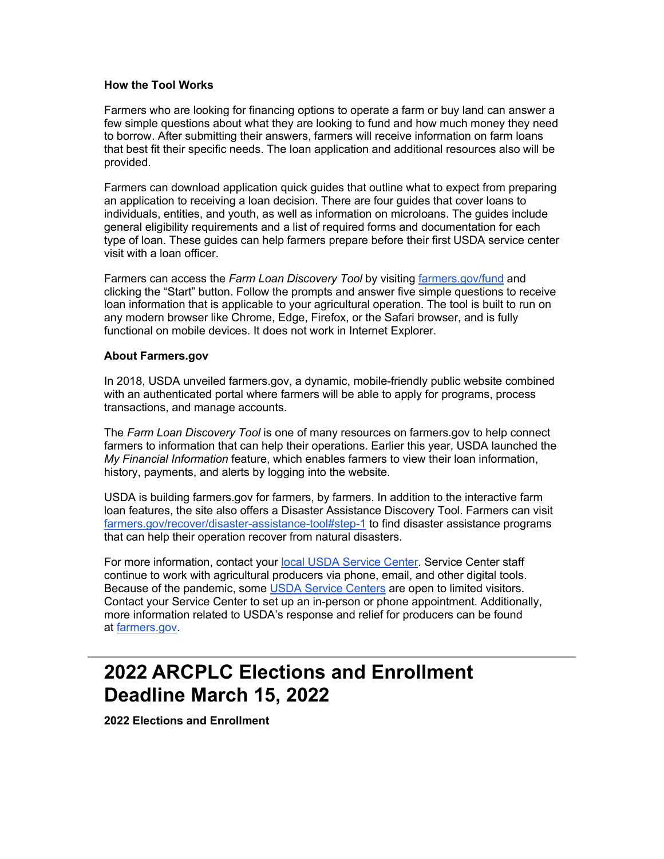#### **How the Tool Works**

Farmers who are looking for financing options to operate a farm or buy land can answer a few simple questions about what they are looking to fund and how much money they need to borrow. After submitting their answers, farmers will receive information on farm loans that best fit their specific needs. The loan application and additional resources also will be provided.

Farmers can download application quick guides that outline what to expect from preparing an application to receiving a loan decision. There are four guides that cover loans to individuals, entities, and youth, as well as information on microloans. The guides include general eligibility requirements and a list of required forms and documentation for each type of loan. These guides can help farmers prepare before their first USDA service center visit with a loan officer.

Farmers can access the *Farm Loan Discovery Tool* by visiting [farmers.gov/fund](https://lnks.gd/l/eyJhbGciOiJIUzI1NiJ9.eyJidWxsZXRpbl9saW5rX2lkIjoxMjIsInVyaSI6ImJwMjpjbGljayIsImJ1bGxldGluX2lkIjoiMjAyMjAxMTkuNTIwMzc4NTEiLCJ1cmwiOiJodHRwczovL3d3dy5mYXJtZXJzLmdvdi9mdW5kP3V0bV9tZWRpdW09ZW1haWwmdXRtX3NvdXJjZT1nb3ZkZWxpdmVyeSJ9.Elx3ABGZmN3NGoV0xq_euf2pvZ4c8PJkUCp6RvyWhHA/s/1512326346/br/125315256956-l) and clicking the "Start" button. Follow the prompts and answer five simple questions to receive loan information that is applicable to your agricultural operation. The tool is built to run on any modern browser like Chrome, Edge, Firefox, or the Safari browser, and is fully functional on mobile devices. It does not work in Internet Explorer.

#### **About Farmers.gov**

In 2018, USDA unveiled farmers.gov, a dynamic, mobile-friendly public website combined with an authenticated portal where farmers will be able to apply for programs, process transactions, and manage accounts.

The *Farm Loan Discovery Tool* is one of many resources on farmers.gov to help connect farmers to information that can help their operations. Earlier this year, USDA launched the *My Financial Information* feature, which enables farmers to view their loan information, history, payments, and alerts by logging into the website.

USDA is building farmers.gov for farmers, by farmers. In addition to the interactive farm loan features, the site also offers a Disaster Assistance Discovery Tool. Farmers can visit [farmers.gov/recover/disaster-assistance-tool#step-1](https://lnks.gd/l/eyJhbGciOiJIUzI1NiJ9.eyJidWxsZXRpbl9saW5rX2lkIjoxMjMsInVyaSI6ImJwMjpjbGljayIsImJ1bGxldGluX2lkIjoiMjAyMjAxMTkuNTIwMzc4NTEiLCJ1cmwiOiJodHRwczovL3d3dy5mYXJtZXJzLmdvdi9yZWNvdmVyL2Rpc2FzdGVyLWFzc2lzdGFuY2UtdG9vbD91dG1fbWVkaXVtPWVtYWlsJnV0bV9zb3VyY2U9Z292ZGVsaXZlcnkjc3RlcC0xIn0.xqWdKNfYgpWpiNoyeRTlEERtt7h3l8L16rYjzfoBAw0/s/1512326346/br/125315256956-l) to find disaster assistance programs that can help their operation recover from natural disasters.

For more information, contact your [local USDA Service Center.](https://lnks.gd/l/eyJhbGciOiJIUzI1NiJ9.eyJidWxsZXRpbl9saW5rX2lkIjoxMjQsInVyaSI6ImJwMjpjbGljayIsImJ1bGxldGluX2lkIjoiMjAyMjAxMTkuNTIwMzc4NTEiLCJ1cmwiOiJodHRwczovL3d3dy5mYXJtZXJzLmdvdi93b3JraW5nLXdpdGgtdXMvc2VydmljZS1jZW50ZXItbG9jYXRvcj91dG1fbWVkaXVtPWVtYWlsJnV0bV9zb3VyY2U9Z292ZGVsaXZlcnkifQ.nLXyTB3Fr_x1Yk9qgTUSoFqDtz8zuLq51uayZ2D8dWk/s/1512326346/br/125315256956-l) Service Center staff continue to work with agricultural producers via phone, email, and other digital tools. Because of the pandemic, some [USDA Service Centers](https://lnks.gd/l/eyJhbGciOiJIUzI1NiJ9.eyJidWxsZXRpbl9saW5rX2lkIjoxMjUsInVyaSI6ImJwMjpjbGljayIsImJ1bGxldGluX2lkIjoiMjAyMjAxMTkuNTIwMzc4NTEiLCJ1cmwiOiJodHRwOi8vd3d3LmZhcm1lcnMuZ292L3NlcnZpY2UtbG9jYXRvcj91dG1fbWVkaXVtPWVtYWlsJnV0bV9zb3VyY2U9Z292ZGVsaXZlcnkifQ.XBiIkUjVjD3FtAC_U09u0ajd-ZJbp54dLiJWcqN1QqY/s/1512326346/br/125315256956-l) are open to limited visitors. Contact your Service Center to set up an in-person or phone appointment. Additionally, more information related to USDA's response and relief for producers can be found at [farmers.gov.](https://lnks.gd/l/eyJhbGciOiJIUzI1NiJ9.eyJidWxsZXRpbl9saW5rX2lkIjoxMjYsInVyaSI6ImJwMjpjbGljayIsImJ1bGxldGluX2lkIjoiMjAyMjAxMTkuNTIwMzc4NTEiLCJ1cmwiOiJodHRwczovL3d3dy5mYXJtZXJzLmdvdi8_dXRtX21lZGl1bT1lbWFpbCZ1dG1fc291cmNlPWdvdmRlbGl2ZXJ5In0.KF-QbW5rRUe7HT4W_gcQ7xTUmUVz2L8R39G90YI2imY/s/1512326346/br/125315256956-l)

## <span id="page-7-0"></span>**2022 ARCPLC Elections and Enrollment Deadline March 15, 2022**

**2022 Elections and Enrollment**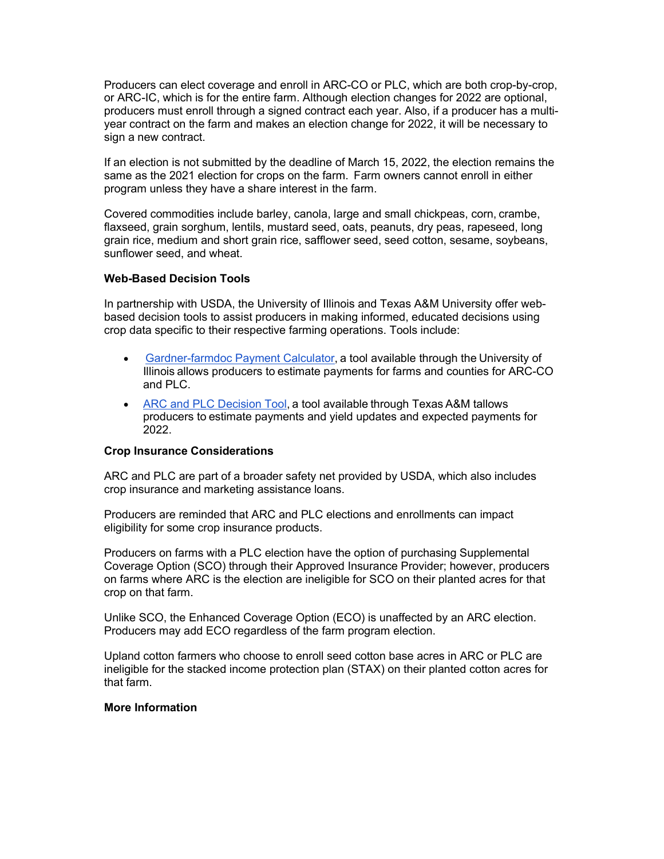Producers can elect coverage and enroll in ARC-CO or PLC, which are both crop-by-crop, or ARC-IC, which is for the entire farm. Although election changes for 2022 are optional, producers must enroll through a signed contract each year. Also, if a producer has a multiyear contract on the farm and makes an election change for 2022, it will be necessary to sign a new contract.   

If an election is not submitted by the deadline of March 15, 2022, the election remains the same as the 2021 election for crops on the farm.  Farm owners cannot enroll in either program unless they have a share interest in the farm.    

Covered commodities include barley, canola, large and small chickpeas, corn, crambe, flaxseed, grain sorghum, lentils, mustard seed, oats, peanuts, dry peas, rapeseed, long grain rice, medium and short grain rice, safflower seed, seed cotton, sesame, soybeans, sunflower seed, and wheat.   

#### **Web-Based Decision Tools**

In partnership with USDA, the University of Illinois and Texas A&M University offer webbased decision tools to assist producers in making informed, educated decisions using crop data specific to their respective farming operations. Tools include:  

- [Gardner-farmdoc Payment Calculator](https://lnks.gd/l/eyJhbGciOiJIUzI1NiJ9.eyJidWxsZXRpbl9saW5rX2lkIjoxMjcsInVyaSI6ImJwMjpjbGljayIsImJ1bGxldGluX2lkIjoiMjAyMjAxMTkuNTIwMzc4NTEiLCJ1cmwiOiJodHRwczovL2Zhcm1kb2NkYWlseS5pbGxpbm9pcy5lZHUvMjAxOS8wOC9pbnRyb2R1Y2luZy10aGUtZ2FyZG5lci1mYXJtZG9jLXBheW1lbnQtY2FsY3VsYXRvci5odG1sJTIyJTIwL3QlMjAlMjJfYmxhbms_dXRtX21lZGl1bT1lbWFpbCZ1dG1fc291cmNlPWdvdmRlbGl2ZXJ5In0.Lq6JhHIGXKveFVDRAbIfzTZIe4diKlBrFDbSpwHzQwg/s/1512326346/br/125315256956-l), a tool available through the University of Illinois allows producers to estimate payments for farms and counties for ARC-CO and PLC.
- [ARC and PLC Decision Tool](https://lnks.gd/l/eyJhbGciOiJIUzI1NiJ9.eyJidWxsZXRpbl9saW5rX2lkIjoxMjgsInVyaSI6ImJwMjpjbGljayIsImJ1bGxldGluX2lkIjoiMjAyMjAxMTkuNTIwMzc4NTEiLCJ1cmwiOiJodHRwczovL3d3dy5hZnBjLnRhbXUuZWR1Lz91dG1fbWVkaXVtPWVtYWlsJnV0bV9zb3VyY2U9Z292ZGVsaXZlcnkifQ.YU4WCuyzxUf95ooAcNQ4lsgsDPqQbbamudzaixY8Ct8/s/1512326346/br/125315256956-l), a tool available through Texas A&M tallows producers to estimate payments and yield updates and expected payments for 2022.

#### **Crop Insurance Considerations**

ARC and PLC are part of a broader safety net provided by USDA, which also includes crop insurance and marketing assistance loans.  

Producers are reminded that ARC and PLC elections and enrollments can impact eligibility for some crop insurance products.  

Producers on farms with a PLC election have the option of purchasing Supplemental Coverage Option (SCO) through their Approved Insurance Provider; however, producers on farms where ARC is the election are ineligible for SCO on their planted acres for that crop on that farm.  

Unlike SCO, the Enhanced Coverage Option (ECO) is unaffected by an ARC election.  Producers may add ECO regardless of the farm program election. 

Upland cotton farmers who choose to enroll seed cotton base acres in ARC or PLC are ineligible for the stacked income protection plan (STAX) on their planted cotton acres for that farm.   

#### **More Information**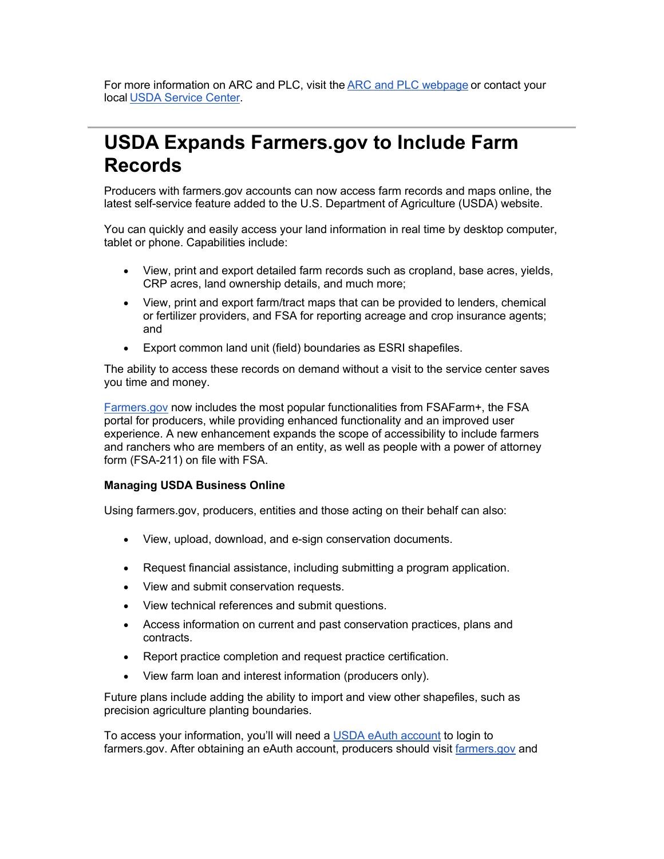For more information on ARC and PLC, visit the [ARC and PLC webpage](https://lnks.gd/l/eyJhbGciOiJIUzI1NiJ9.eyJidWxsZXRpbl9saW5rX2lkIjoxMjksInVyaSI6ImJwMjpjbGljayIsImJ1bGxldGluX2lkIjoiMjAyMjAxMTkuNTIwMzc4NTEiLCJ1cmwiOiJodHRwczovL3d3dy5mc2EudXNkYS5nb3YvcHJvZ3JhbXMtYW5kLXNlcnZpY2VzL2FyY3BsY19wcm9ncmFtL2luZGV4P3V0bV9tZWRpdW09ZW1haWwmdXRtX3NvdXJjZT1nb3ZkZWxpdmVyeSJ9.jres0JkeA_VGrUxnP_9_jDLUOUlecIeTcxzTQ8Q63XA/s/1512326346/br/125315256956-l) or contact your local [USDA Service Center](https://lnks.gd/l/eyJhbGciOiJIUzI1NiJ9.eyJidWxsZXRpbl9saW5rX2lkIjoxMzAsInVyaSI6ImJwMjpjbGljayIsImJ1bGxldGluX2lkIjoiMjAyMjAxMTkuNTIwMzc4NTEiLCJ1cmwiOiJodHRwOi8vd3d3LmZhcm1lcnMuZ292L3NlcnZpY2UtbG9jYXRvcj91dG1fbWVkaXVtPWVtYWlsJnV0bV9zb3VyY2U9Z292ZGVsaXZlcnkifQ.I1ccRNarc4X2MI1Yrjb1d083Yb_FPceMeabm3dAOibs/s/1512326346/br/125315256956-l). 

### <span id="page-9-0"></span>**USDA Expands Farmers.gov to Include Farm Records**

Producers with farmers.gov accounts can now access farm records and maps online, the latest self-service feature added to the U.S. Department of Agriculture (USDA) website.

You can quickly and easily access your land information in real time by desktop computer, tablet or phone. Capabilities include:

- View, print and export detailed farm records such as cropland, base acres, yields, CRP acres, land ownership details, and much more;
- View, print and export farm/tract maps that can be provided to lenders, chemical or fertilizer providers, and FSA for reporting acreage and crop insurance agents; and
- Export common land unit (field) boundaries as ESRI shapefiles.

The ability to access these records on demand without a visit to the service center saves you time and money.

[Farmers.gov](https://lnks.gd/l/eyJhbGciOiJIUzI1NiJ9.eyJidWxsZXRpbl9saW5rX2lkIjoxMzEsInVyaSI6ImJwMjpjbGljayIsImJ1bGxldGluX2lkIjoiMjAyMjAxMTkuNTIwMzc4NTEiLCJ1cmwiOiJodHRwczovL3d3dy5mYXJtZXJzLmdvdi8_dXRtX21lZGl1bT1lbWFpbCZ1dG1fc291cmNlPWdvdmRlbGl2ZXJ5In0.WLnuaRsDkkjjQtB-7DILQHYffyN42gWVaFqaB-3E3Yw/s/1512326346/br/125315256956-l) now includes the most popular functionalities from FSAFarm+, the FSA portal for producers, while providing enhanced functionality and an improved user experience. A new enhancement expands the scope of accessibility to include farmers and ranchers who are members of an entity, as well as people with a power of attorney form (FSA-211) on file with FSA.

#### **Managing USDA Business Online**

Using farmers.gov, producers, entities and those acting on their behalf can also:

- View, upload, download, and e-sign conservation documents.
- Request financial assistance, including submitting a program application.
- View and submit conservation requests.
- View technical references and submit questions.
- Access information on current and past conservation practices, plans and contracts.
- Report practice completion and request practice certification.
- View farm loan and interest information (producers only).

Future plans include adding the ability to import and view other shapefiles, such as precision agriculture planting boundaries.

To access your information, you'll will need a [USDA eAuth account](https://lnks.gd/l/eyJhbGciOiJIUzI1NiJ9.eyJidWxsZXRpbl9saW5rX2lkIjoxMzIsInVyaSI6ImJwMjpjbGljayIsImJ1bGxldGluX2lkIjoiMjAyMjAxMTkuNTIwMzc4NTEiLCJ1cmwiOiJodHRwczovL3d3dy5lYXV0aC51c2RhLmdvdi9ob21lLz91dG1fbWVkaXVtPWVtYWlsJnV0bV9zb3VyY2U9Z292ZGVsaXZlcnkifQ.qT1757Q-RB1ouTzLSfqSRIZwtzDcjp_HEXl5isQ9sN8/s/1512326346/br/125315256956-l) to login to farmers.gov. After obtaining an eAuth account, producers should visit [farmers.gov](https://lnks.gd/l/eyJhbGciOiJIUzI1NiJ9.eyJidWxsZXRpbl9saW5rX2lkIjoxMzMsInVyaSI6ImJwMjpjbGljayIsImJ1bGxldGluX2lkIjoiMjAyMjAxMTkuNTIwMzc4NTEiLCJ1cmwiOiJodHRwczovL3d3dy5mYXJtZXJzLmdvdj91dG1fbWVkaXVtPWVtYWlsJnV0bV9zb3VyY2U9Z292ZGVsaXZlcnkifQ.ZUsDdB3VyfJazNP4NOJAjUEzgpUlspdSXExx4dW_zsU/s/1512326346/br/125315256956-l) and